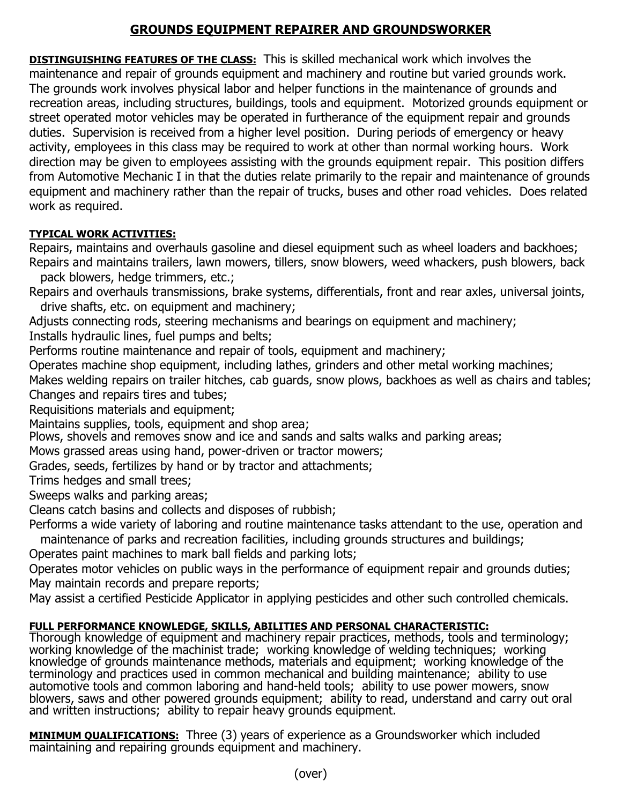## **GROUNDS EQUIPMENT REPAIRER AND GROUNDSWORKER**

**DISTINGUISHING FEATURES OF THE CLASS:** This is skilled mechanical work which involves the maintenance and repair of grounds equipment and machinery and routine but varied grounds work. The grounds work involves physical labor and helper functions in the maintenance of grounds and recreation areas, including structures, buildings, tools and equipment. Motorized grounds equipment or street operated motor vehicles may be operated in furtherance of the equipment repair and grounds duties. Supervision is received from a higher level position. During periods of emergency or heavy activity, employees in this class may be required to work at other than normal working hours. Work direction may be given to employees assisting with the grounds equipment repair. This position differs from Automotive Mechanic I in that the duties relate primarily to the repair and maintenance of grounds equipment and machinery rather than the repair of trucks, buses and other road vehicles. Does related work as required.

## **TYPICAL WORK ACTIVITIES:**

Repairs, maintains and overhauls gasoline and diesel equipment such as wheel loaders and backhoes; Repairs and maintains trailers, lawn mowers, tillers, snow blowers, weed whackers, push blowers, back

- pack blowers, hedge trimmers, etc.;
- Repairs and overhauls transmissions, brake systems, differentials, front and rear axles, universal joints, drive shafts, etc. on equipment and machinery;
- Adjusts connecting rods, steering mechanisms and bearings on equipment and machinery;

Installs hydraulic lines, fuel pumps and belts;

Performs routine maintenance and repair of tools, equipment and machinery;

Operates machine shop equipment, including lathes, grinders and other metal working machines;

Makes welding repairs on trailer hitches, cab guards, snow plows, backhoes as well as chairs and tables; Changes and repairs tires and tubes;

Requisitions materials and equipment;

Maintains supplies, tools, equipment and shop area;

Plows, shovels and removes snow and ice and sands and salts walks and parking areas;

Mows grassed areas using hand, power-driven or tractor mowers;

Grades, seeds, fertilizes by hand or by tractor and attachments;

Trims hedges and small trees;

Sweeps walks and parking areas;

Cleans catch basins and collects and disposes of rubbish;

Performs a wide variety of laboring and routine maintenance tasks attendant to the use, operation and maintenance of parks and recreation facilities, including grounds structures and buildings;

Operates paint machines to mark ball fields and parking lots;

Operates motor vehicles on public ways in the performance of equipment repair and grounds duties; May maintain records and prepare reports;

May assist a certified Pesticide Applicator in applying pesticides and other such controlled chemicals.

## **FULL PERFORMANCE KNOWLEDGE, SKILLS, ABILITIES AND PERSONAL CHARACTERISTIC:**

Thorough knowledge of equipment and machinery repair practices, methods, tools and terminology; working knowledge of the machinist trade; working knowledge of welding techniques; working knowledge of grounds maintenance methods, materials and equipment; working knowledge of the terminology and practices used in common mechanical and building maintenance; ability to use automotive tools and common laboring and hand-held tools; ability to use power mowers, snow blowers, saws and other powered grounds equipment; ability to read, understand and carry out oral and written instructions; ability to repair heavy grounds equipment.

**MINIMUM QUALIFICATIONS:** Three (3) years of experience as a Groundsworker which included maintaining and repairing grounds equipment and machinery.